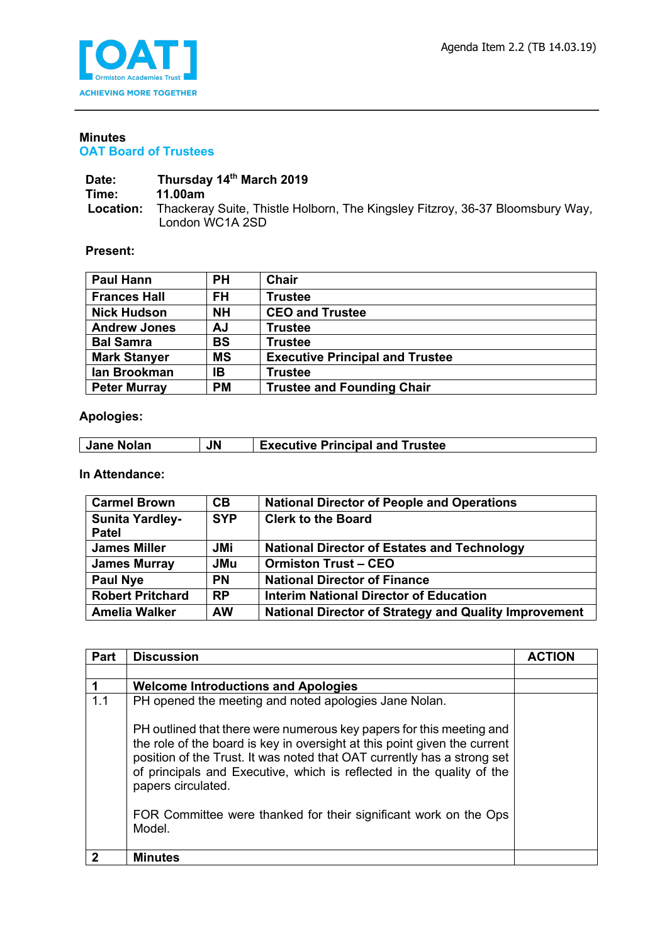

#### **Minutes OAT Board of Trustees**

#### Date: Thursday 14<sup>th</sup> March 2019<br>Time: 11.00am **Time: 11.00am Location:** Thackeray Suite, Thistle Holborn, The Kingsley Fitzroy, 36-37 Bloomsbury Way, London WC1A 2SD

### **Present:**

| <b>Paul Hann</b>    | PН        | Chair                                  |
|---------------------|-----------|----------------------------------------|
| <b>Frances Hall</b> | FH.       | <b>Trustee</b>                         |
| <b>Nick Hudson</b>  | <b>NH</b> | <b>CEO and Trustee</b>                 |
| <b>Andrew Jones</b> | ΑJ        | <b>Trustee</b>                         |
| <b>Bal Samra</b>    | <b>BS</b> | <b>Trustee</b>                         |
| <b>Mark Stanyer</b> | <b>MS</b> | <b>Executive Principal and Trustee</b> |
| lan Brookman        | IB        | <b>Trustee</b>                         |
| <b>Peter Murray</b> | <b>PM</b> | <b>Trustee and Founding Chair</b>      |

## **Apologies:**

| Executive Principal and Trustee<br>Jane Nolan |  | <b>JN</b> |  |
|-----------------------------------------------|--|-----------|--|
|-----------------------------------------------|--|-----------|--|

# **In Attendance:**

| <b>Carmel Brown</b>                    | <b>CB</b>  | <b>National Director of People and Operations</b>            |
|----------------------------------------|------------|--------------------------------------------------------------|
| <b>Sunita Yardley-</b><br><b>Patel</b> | <b>SYP</b> | <b>Clerk to the Board</b>                                    |
| <b>James Miller</b>                    | JMi        | <b>National Director of Estates and Technology</b>           |
| <b>James Murray</b>                    | <b>JMu</b> | <b>Ormiston Trust - CEO</b>                                  |
| <b>Paul Nye</b>                        | <b>PN</b>  | <b>National Director of Finance</b>                          |
| <b>Robert Pritchard</b>                | <b>RP</b>  | Interim National Director of Education                       |
| <b>Amelia Walker</b>                   | <b>AW</b>  | <b>National Director of Strategy and Quality Improvement</b> |

| <b>Part</b> | <b>Discussion</b>                                                                                                                                                                                                                                                                                                           | <b>ACTION</b> |
|-------------|-----------------------------------------------------------------------------------------------------------------------------------------------------------------------------------------------------------------------------------------------------------------------------------------------------------------------------|---------------|
|             |                                                                                                                                                                                                                                                                                                                             |               |
|             | <b>Welcome Introductions and Apologies</b>                                                                                                                                                                                                                                                                                  |               |
| 1.1         | PH opened the meeting and noted apologies Jane Nolan.                                                                                                                                                                                                                                                                       |               |
|             | PH outlined that there were numerous key papers for this meeting and<br>the role of the board is key in oversight at this point given the current<br>position of the Trust. It was noted that OAT currently has a strong set<br>of principals and Executive, which is reflected in the quality of the<br>papers circulated. |               |
|             | FOR Committee were thanked for their significant work on the Ops<br>Model.                                                                                                                                                                                                                                                  |               |
|             | <b>Minutes</b>                                                                                                                                                                                                                                                                                                              |               |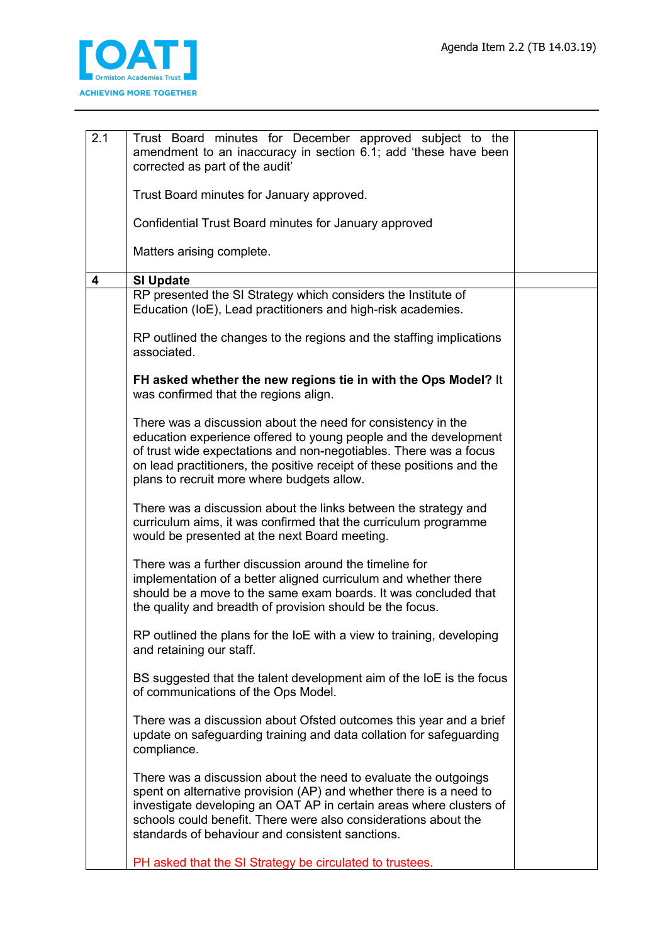

| 2.1 | Trust Board minutes for December approved subject to the<br>amendment to an inaccuracy in section 6.1; add 'these have been<br>corrected as part of the audit'                                                                                                                                                                      |  |
|-----|-------------------------------------------------------------------------------------------------------------------------------------------------------------------------------------------------------------------------------------------------------------------------------------------------------------------------------------|--|
|     | Trust Board minutes for January approved.                                                                                                                                                                                                                                                                                           |  |
|     | Confidential Trust Board minutes for January approved                                                                                                                                                                                                                                                                               |  |
|     | Matters arising complete.                                                                                                                                                                                                                                                                                                           |  |
| 4   | <b>SI Update</b>                                                                                                                                                                                                                                                                                                                    |  |
|     | RP presented the SI Strategy which considers the Institute of<br>Education (IoE), Lead practitioners and high-risk academies.                                                                                                                                                                                                       |  |
|     | RP outlined the changes to the regions and the staffing implications<br>associated.                                                                                                                                                                                                                                                 |  |
|     | FH asked whether the new regions tie in with the Ops Model? It<br>was confirmed that the regions align.                                                                                                                                                                                                                             |  |
|     | There was a discussion about the need for consistency in the<br>education experience offered to young people and the development<br>of trust wide expectations and non-negotiables. There was a focus<br>on lead practitioners, the positive receipt of these positions and the<br>plans to recruit more where budgets allow.       |  |
|     | There was a discussion about the links between the strategy and<br>curriculum aims, it was confirmed that the curriculum programme<br>would be presented at the next Board meeting.                                                                                                                                                 |  |
|     | There was a further discussion around the timeline for<br>implementation of a better aligned curriculum and whether there<br>should be a move to the same exam boards. It was concluded that<br>the quality and breadth of provision should be the focus.                                                                           |  |
|     | RP outlined the plans for the loE with a view to training, developing<br>and retaining our staff.                                                                                                                                                                                                                                   |  |
|     | BS suggested that the talent development aim of the loE is the focus<br>of communications of the Ops Model.                                                                                                                                                                                                                         |  |
|     | There was a discussion about Ofsted outcomes this year and a brief<br>update on safeguarding training and data collation for safeguarding<br>compliance.                                                                                                                                                                            |  |
|     | There was a discussion about the need to evaluate the outgoings<br>spent on alternative provision (AP) and whether there is a need to<br>investigate developing an OAT AP in certain areas where clusters of<br>schools could benefit. There were also considerations about the<br>standards of behaviour and consistent sanctions. |  |
|     | PH asked that the SI Strategy be circulated to trustees.                                                                                                                                                                                                                                                                            |  |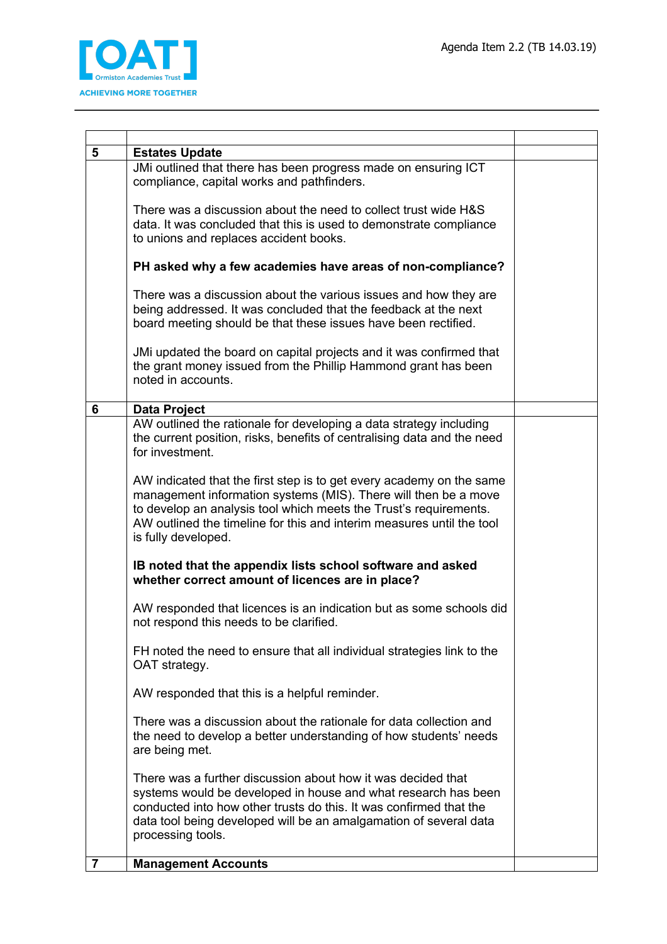

| 5              | <b>Estates Update</b>                                                                                                                                                                                                                                                                                        |  |
|----------------|--------------------------------------------------------------------------------------------------------------------------------------------------------------------------------------------------------------------------------------------------------------------------------------------------------------|--|
|                | JMi outlined that there has been progress made on ensuring ICT<br>compliance, capital works and pathfinders.                                                                                                                                                                                                 |  |
|                | There was a discussion about the need to collect trust wide H&S<br>data. It was concluded that this is used to demonstrate compliance<br>to unions and replaces accident books.                                                                                                                              |  |
|                | PH asked why a few academies have areas of non-compliance?                                                                                                                                                                                                                                                   |  |
|                | There was a discussion about the various issues and how they are<br>being addressed. It was concluded that the feedback at the next<br>board meeting should be that these issues have been rectified.                                                                                                        |  |
|                | JMi updated the board on capital projects and it was confirmed that<br>the grant money issued from the Phillip Hammond grant has been<br>noted in accounts.                                                                                                                                                  |  |
| 6              | <b>Data Project</b>                                                                                                                                                                                                                                                                                          |  |
|                | AW outlined the rationale for developing a data strategy including<br>the current position, risks, benefits of centralising data and the need<br>for investment.                                                                                                                                             |  |
|                | AW indicated that the first step is to get every academy on the same<br>management information systems (MIS). There will then be a move<br>to develop an analysis tool which meets the Trust's requirements.<br>AW outlined the timeline for this and interim measures until the tool<br>is fully developed. |  |
|                | IB noted that the appendix lists school software and asked<br>whether correct amount of licences are in place?                                                                                                                                                                                               |  |
|                | AW responded that licences is an indication but as some schools did<br>not respond this needs to be clarified.                                                                                                                                                                                               |  |
|                | FH noted the need to ensure that all individual strategies link to the<br>OAT strategy.                                                                                                                                                                                                                      |  |
|                | AW responded that this is a helpful reminder.                                                                                                                                                                                                                                                                |  |
|                | There was a discussion about the rationale for data collection and<br>the need to develop a better understanding of how students' needs<br>are being met.                                                                                                                                                    |  |
|                | There was a further discussion about how it was decided that<br>systems would be developed in house and what research has been<br>conducted into how other trusts do this. It was confirmed that the<br>data tool being developed will be an amalgamation of several data<br>processing tools.               |  |
| $\overline{7}$ | <b>Management Accounts</b>                                                                                                                                                                                                                                                                                   |  |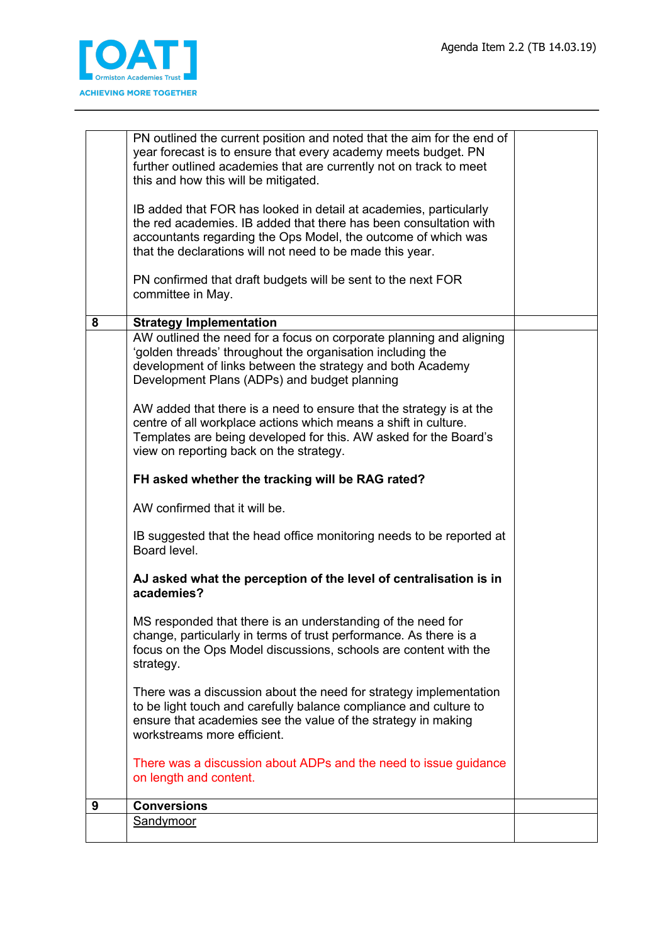

|   | PN outlined the current position and noted that the aim for the end of                                                                 |  |
|---|----------------------------------------------------------------------------------------------------------------------------------------|--|
|   | year forecast is to ensure that every academy meets budget. PN<br>further outlined academies that are currently not on track to meet   |  |
|   | this and how this will be mitigated.                                                                                                   |  |
|   |                                                                                                                                        |  |
|   | IB added that FOR has looked in detail at academies, particularly<br>the red academies. IB added that there has been consultation with |  |
|   | accountants regarding the Ops Model, the outcome of which was                                                                          |  |
|   | that the declarations will not need to be made this year.                                                                              |  |
|   |                                                                                                                                        |  |
|   | PN confirmed that draft budgets will be sent to the next FOR<br>committee in May.                                                      |  |
|   |                                                                                                                                        |  |
| 8 | <b>Strategy Implementation</b>                                                                                                         |  |
|   | AW outlined the need for a focus on corporate planning and aligning<br>'golden threads' throughout the organisation including the      |  |
|   | development of links between the strategy and both Academy                                                                             |  |
|   | Development Plans (ADPs) and budget planning                                                                                           |  |
|   |                                                                                                                                        |  |
|   | AW added that there is a need to ensure that the strategy is at the<br>centre of all workplace actions which means a shift in culture. |  |
|   | Templates are being developed for this. AW asked for the Board's                                                                       |  |
|   | view on reporting back on the strategy.                                                                                                |  |
|   | FH asked whether the tracking will be RAG rated?                                                                                       |  |
|   | AW confirmed that it will be.                                                                                                          |  |
|   | IB suggested that the head office monitoring needs to be reported at<br>Board level.                                                   |  |
|   | AJ asked what the perception of the level of centralisation is in<br>academies?                                                        |  |
|   | MS responded that there is an understanding of the need for                                                                            |  |
|   | change, particularly in terms of trust performance. As there is a                                                                      |  |
|   | focus on the Ops Model discussions, schools are content with the                                                                       |  |
|   | strategy.                                                                                                                              |  |
|   | There was a discussion about the need for strategy implementation                                                                      |  |
|   | to be light touch and carefully balance compliance and culture to                                                                      |  |
|   | ensure that academies see the value of the strategy in making<br>workstreams more efficient.                                           |  |
|   |                                                                                                                                        |  |
|   | There was a discussion about ADPs and the need to issue guidance                                                                       |  |
|   | on length and content.                                                                                                                 |  |
| 9 | <b>Conversions</b>                                                                                                                     |  |
|   | Sandymoor                                                                                                                              |  |
|   |                                                                                                                                        |  |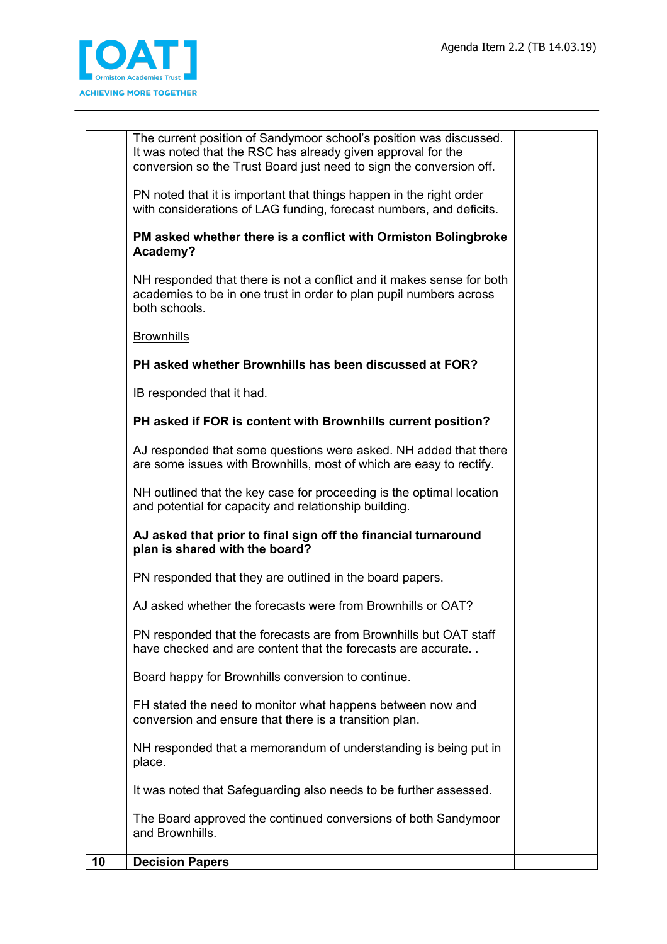

|    | The current position of Sandymoor school's position was discussed.<br>It was noted that the RSC has already given approval for the<br>conversion so the Trust Board just need to sign the conversion off. |  |
|----|-----------------------------------------------------------------------------------------------------------------------------------------------------------------------------------------------------------|--|
|    | PN noted that it is important that things happen in the right order<br>with considerations of LAG funding, forecast numbers, and deficits.                                                                |  |
|    | PM asked whether there is a conflict with Ormiston Bolingbroke<br>Academy?                                                                                                                                |  |
|    | NH responded that there is not a conflict and it makes sense for both<br>academies to be in one trust in order to plan pupil numbers across<br>both schools.                                              |  |
|    | <b>Brownhills</b>                                                                                                                                                                                         |  |
|    | PH asked whether Brownhills has been discussed at FOR?                                                                                                                                                    |  |
|    | IB responded that it had.                                                                                                                                                                                 |  |
|    | PH asked if FOR is content with Brownhills current position?                                                                                                                                              |  |
|    | AJ responded that some questions were asked. NH added that there<br>are some issues with Brownhills, most of which are easy to rectify.                                                                   |  |
|    | NH outlined that the key case for proceeding is the optimal location<br>and potential for capacity and relationship building.                                                                             |  |
|    | AJ asked that prior to final sign off the financial turnaround<br>plan is shared with the board?                                                                                                          |  |
|    | PN responded that they are outlined in the board papers.                                                                                                                                                  |  |
|    | AJ asked whether the forecasts were from Brownhills or OAT?                                                                                                                                               |  |
|    | PN responded that the forecasts are from Brownhills but OAT staff<br>have checked and are content that the forecasts are accurate                                                                         |  |
|    | Board happy for Brownhills conversion to continue.                                                                                                                                                        |  |
|    | FH stated the need to monitor what happens between now and<br>conversion and ensure that there is a transition plan.                                                                                      |  |
|    | NH responded that a memorandum of understanding is being put in<br>place.                                                                                                                                 |  |
|    | It was noted that Safeguarding also needs to be further assessed.                                                                                                                                         |  |
|    | The Board approved the continued conversions of both Sandymoor<br>and Brownhills.                                                                                                                         |  |
| 10 | <b>Decision Papers</b>                                                                                                                                                                                    |  |